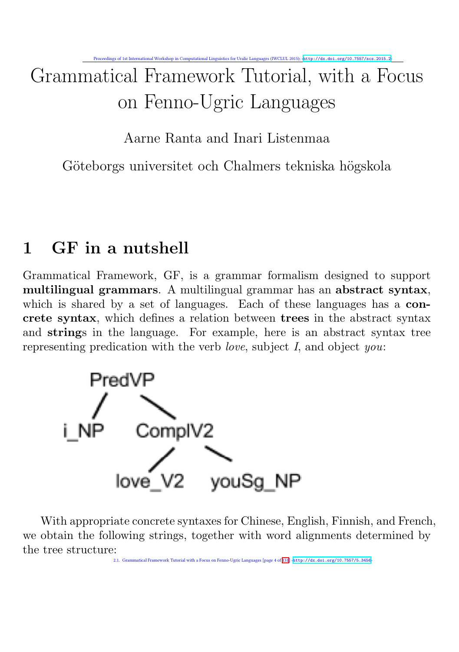# Grammatical Framework Tutorial, with a Focus on Fenno-Ugric Languages

Aarne Ranta and Inari Listenmaa

Göteborgs universitet och Chalmers tekniska högskola

# 1 GF in a nutshell

Grammatical Framework, GF, is a grammar formalism designed to support multilingual grammars. A multilingual grammar has an abstract syntax, which is shared by a set of languages. Each of these languages has a **con**crete syntax, which defines a relation between trees in the abstract syntax and strings in the language. For example, here is an abstract syntax tree representing predication with the verb *love*, subject  $I$ , and object *you*:



With appropriate concrete syntaxes for Chinese, English, Finnish, and French, we obtain the following strings, together with word alignments determined by the tree structure: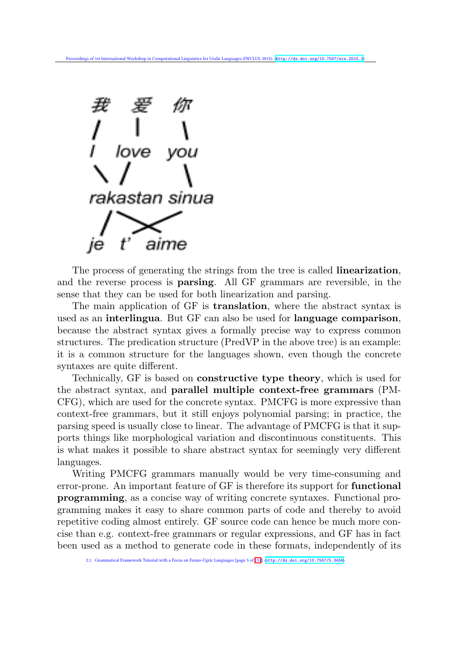

The process of generating the strings from the tree is called linearization, and the reverse process is parsing. All GF grammars are reversible, in the sense that they can be used for both linearization and parsing.

The main application of GF is translation, where the abstract syntax is used as an interlingua. But GF can also be used for language comparison, because the abstract syntax gives a formally precise way to express common structures. The predication structure (PredVP in the above tree) is an example: it is a common structure for the languages shown, even though the concrete syntaxes are quite different.

Technically, GF is based on constructive type theory, which is used for the abstract syntax, and parallel multiple context-free grammars (PM-CFG), which are used for the concrete syntax. PMCFG is more expressive than context-free grammars, but it still enjoys polynomial parsing; in practice, the parsing speed is usually close to linear. The advantage of PMCFG is that it supports things like morphological variation and discontinuous constituents. This is what makes it possible to share abstract syntax for seemingly very different languages.

Writing PMCFG grammars manually would be very time-consuming and error-prone. An important feature of GF is therefore its support for functional programming, as a concise way of writing concrete syntaxes. Functional programming makes it easy to share common parts of code and thereby to avoid repetitive coding almost entirely. GF source code can hence be much more concise than e.g. context-free grammars or regular expressions, and GF has in fact been used as a method to generate code in these formats, independently of its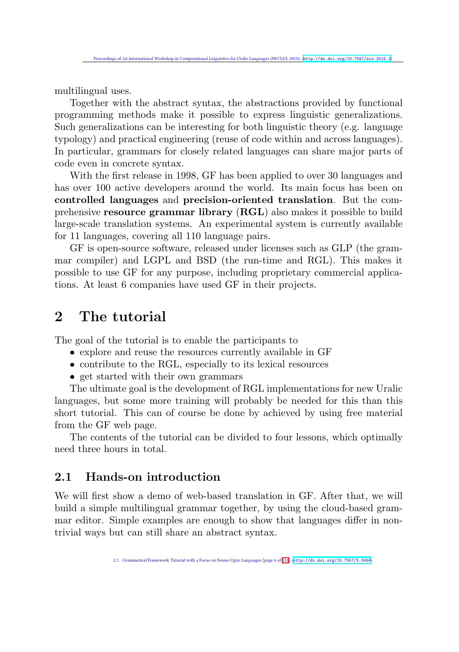multilingual uses.

Together with the abstract syntax, the abstractions provided by functional programming methods make it possible to express linguistic generalizations. Such generalizations can be interesting for both linguistic theory (e.g. language typology) and practical engineering (reuse of code within and across languages). In particular, grammars for closely related languages can share major parts of code even in concrete syntax.

With the first release in 1998, GF has been applied to over 30 languages and has over 100 active developers around the world. Its main focus has been on controlled languages and precision-oriented translation. But the comprehensive resource grammar library (RGL) also makes it possible to build large-scale translation systems. An experimental system is currently available for 11 languages, covering all 110 language pairs.

GF is open-source software, released under licenses such as GLP (the grammar compiler) and LGPL and BSD (the run-time and RGL). This makes it possible to use GF for any purpose, including proprietary commercial applications. At least 6 companies have used GF in their projects.

# 2 The tutorial

The goal of the tutorial is to enable the participants to

- explore and reuse the resources currently available in GF
- contribute to the RGL, especially to its lexical resources
- get started with their own grammars

The ultimate goal is the development of RGL implementations for new Uralic languages, but some more training will probably be needed for this than this short tutorial. This can of course be done by achieved by using free material from the GF web page.

The contents of the tutorial can be divided to four lessons, which optimally need three hours in total.

#### 2.1 Hands-on introduction

We will first show a demo of web-based translation in GF. After that, we will build a simple multilingual grammar together, by using the cloud-based grammar editor. Simple examples are enough to show that languages differ in nontrivial ways but can still share an abstract syntax.

2.1. Grammatical Framework Tutorial with a Focus on Fenno-Ugric Languages [page 6 of 131] ‹<http://dx.doi.org/10.7557/5.3456>›